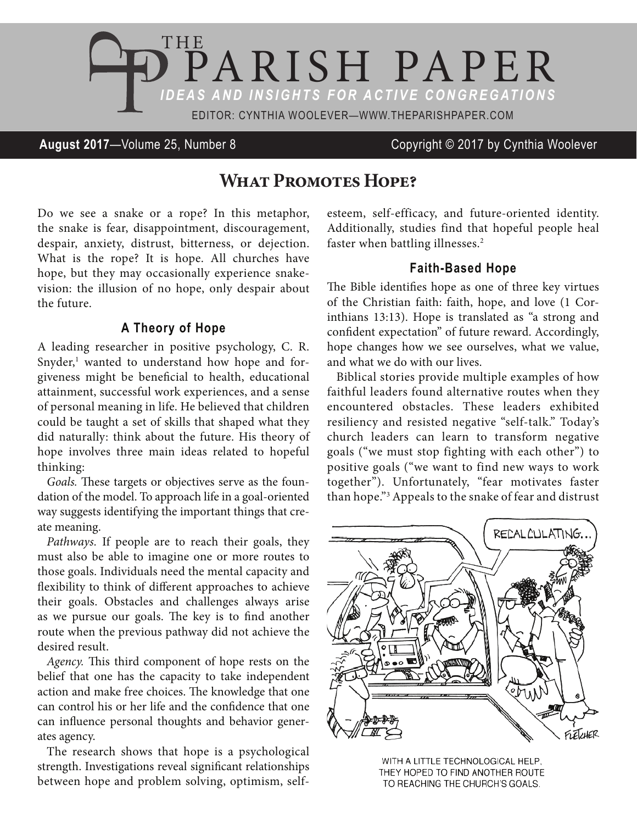

**August 2017**—Volume 25, Number 8 Copyright © 2017 by Cynthia Woolever

# **What Promotes Hope?**

Do we see a snake or a rope? In this metaphor, the snake is fear, disappointment, discouragement, despair, anxiety, distrust, bitterness, or dejection. What is the rope? It is hope. All churches have hope, but they may occasionally experience snakevision: the illusion of no hope, only despair about the future.

### **A Theory of Hope**

A leading researcher in positive psychology, C. R. Snyder,<sup>1</sup> wanted to understand how hope and forgiveness might be beneficial to health, educational attainment, successful work experiences, and a sense of personal meaning in life. He believed that children could be taught a set of skills that shaped what they did naturally: think about the future. His theory of hope involves three main ideas related to hopeful thinking:

*Goals.* These targets or objectives serve as the foundation of the model. To approach life in a goal-oriented way suggests identifying the important things that create meaning.

*Pathways.* If people are to reach their goals, they must also be able to imagine one or more routes to those goals. Individuals need the mental capacity and flexibility to think of different approaches to achieve their goals. Obstacles and challenges always arise as we pursue our goals. The key is to find another route when the previous pathway did not achieve the desired result.

*Agency.* This third component of hope rests on the belief that one has the capacity to take independent action and make free choices. The knowledge that one can control his or her life and the confidence that one can influence personal thoughts and behavior generates agency.

The research shows that hope is a psychological strength. Investigations reveal significant relationships between hope and problem solving, optimism, selfesteem, self-efficacy, and future-oriented identity. Additionally, studies find that hopeful people heal faster when battling illnesses.<sup>2</sup>

### **Faith-Based Hope**

The Bible identifies hope as one of three key virtues of the Christian faith: faith, hope, and love (1 Corinthians 13:13). Hope is translated as "a strong and confident expectation" of future reward. Accordingly, hope changes how we see ourselves, what we value, and what we do with our lives.

Biblical stories provide multiple examples of how faithful leaders found alternative routes when they encountered obstacles. These leaders exhibited resiliency and resisted negative "self-talk." Today's church leaders can learn to transform negative goals ("we must stop fighting with each other") to positive goals ("we want to find new ways to work together"). Unfortunately, "fear motivates faster than hope."3 Appeals to the snake of fear and distrust



WITH A LITTLE TECHNOLOGICAL HELP, THEY HOPED TO FIND ANOTHER ROUTE TO REACHING THE CHURCH'S GOALS.